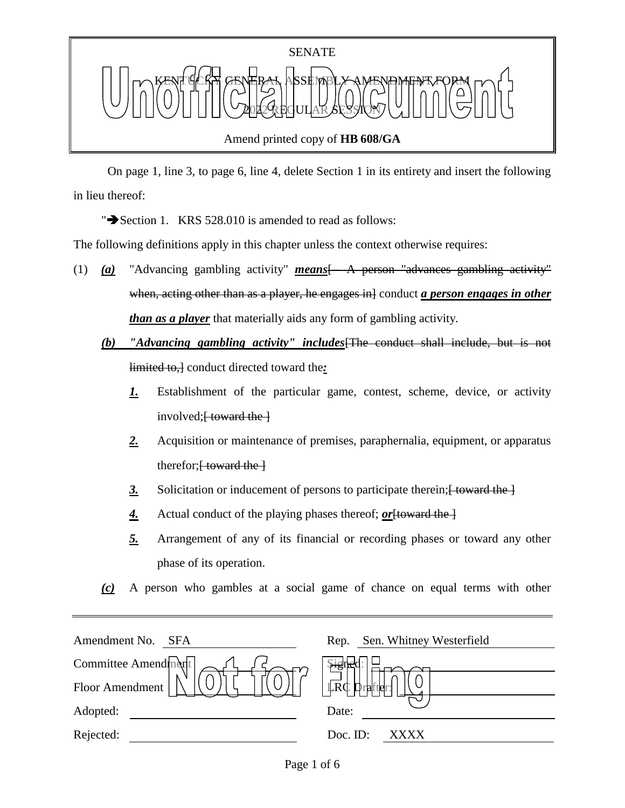

 On page 1, line 3, to page 6, line 4, delete Section 1 in its entirety and insert the following in lieu thereof:

" $\rightarrow$  Section 1. KRS 528.010 is amended to read as follows:

The following definitions apply in this chapter unless the context otherwise requires:

- (1) *(a)* "Advancing gambling activity" *means*[-- A person "advances gambling activity" when, acting other than as a player, he engages in conduct *a person engages in other than as a player* that materially aids any form of gambling activity.
	- *(b) "Advancing gambling activity" includes*[The conduct shall include, but is not limited to,] conduct directed toward the*:*
		- *1.* Establishment of the particular game, contest, scheme, device, or activity involved; $\frac{1}{2}$  toward the  $\frac{1}{2}$
		- *2.* Acquisition or maintenance of premises, paraphernalia, equipment, or apparatus therefor; $\frac{1}{2}$  toward the  $\frac{1}{2}$
		- 3. Solicitation or inducement of persons to participate therein; <del>[ toward the ]</del>
		- 4. Actual conduct of the playing phases thereof; <u>or</u> [toward the ]
		- *5.* Arrangement of any of its financial or recording phases or toward any other phase of its operation.
	- *(c)* A person who gambles at a social game of chance on equal terms with other

| Amendment No.<br><b>SFA</b> | Sen. Whitney Westerfield<br>Rep. |
|-----------------------------|----------------------------------|
| Committee Amendment         | <u>भृहे</u> ।                    |
| Floor Amendment             | LRC<br>$\mathbf{D}_1$<br>rafter  |
| Adopted:                    | Date:                            |
| Rejected:                   | Doc. ID:<br>XXXX                 |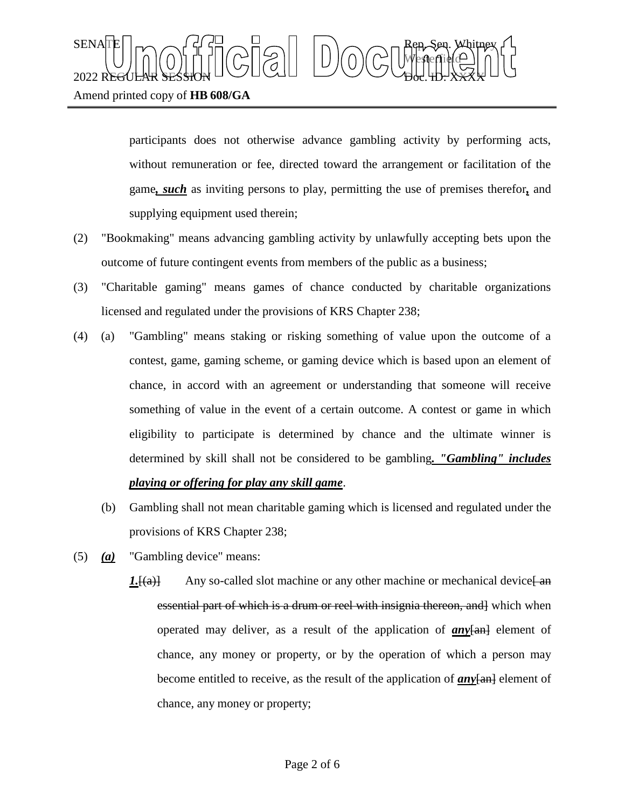## SENATE Rep. Sen. Whitney Westerfield  $2022$  REGULAR SESSION DOLLOURED DO COURT TO CHARLED.  $\chi_{\rm{H}}$ Amend printed copy of **HB 608/GA**

participants does not otherwise advance gambling activity by performing acts, without remuneration or fee, directed toward the arrangement or facilitation of the game*, such* as inviting persons to play, permitting the use of premises therefor*,* and supplying equipment used therein;

- (2) "Bookmaking" means advancing gambling activity by unlawfully accepting bets upon the outcome of future contingent events from members of the public as a business;
- (3) "Charitable gaming" means games of chance conducted by charitable organizations licensed and regulated under the provisions of KRS Chapter 238;
- (4) (a) "Gambling" means staking or risking something of value upon the outcome of a contest, game, gaming scheme, or gaming device which is based upon an element of chance, in accord with an agreement or understanding that someone will receive something of value in the event of a certain outcome. A contest or game in which eligibility to participate is determined by chance and the ultimate winner is determined by skill shall not be considered to be gambling*. "Gambling" includes playing or offering for play any skill game*.
	- (b) Gambling shall not mean charitable gaming which is licensed and regulated under the provisions of KRS Chapter 238;
- (5) *(a)* "Gambling device" means:
	- $1.$  [(a)] Any so-called slot machine or any other machine or mechanical device  $\frac{1}{2}$ essential part of which is a drum or reel with insignia thereon, and which when operated may deliver, as a result of the application of **any**[an] element of chance, any money or property, or by the operation of which a person may become entitled to receive, as the result of the application of *any*[an] element of chance, any money or property;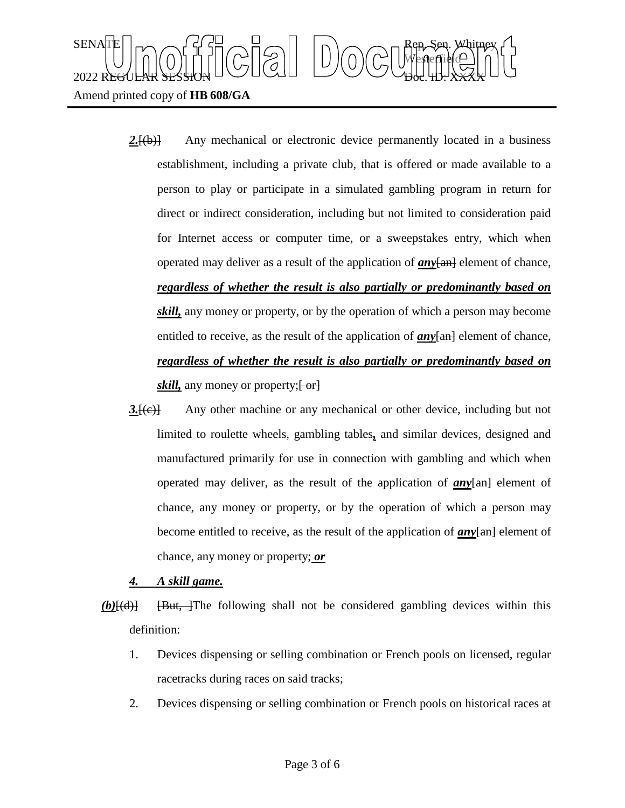

- 2.<del>[(b)]</del> Any mechanical or electronic device permanently located in a business establishment, including a private club, that is offered or made available to a person to play or participate in a simulated gambling program in return for direct or indirect consideration, including but not limited to consideration paid for Internet access or computer time, or a sweepstakes entry, which when operated may deliver as a result of the application of *any*[an] element of chance, *regardless of whether the result is also partially or predominantly based on skill,* any money or property, or by the operation of which a person may become entitled to receive, as the result of the application of  $any$  $[an]$  element of chance, *regardless of whether the result is also partially or predominantly based on skill*, any money or property;  $\left\{ \frac{\partial}{\partial r} \right\}$
- *3.*[(c)] Any other machine or any mechanical or other device, including but not limited to roulette wheels, gambling tables*,* and similar devices, designed and manufactured primarily for use in connection with gambling and which when operated may deliver, as the result of the application of  $anv$ <del>[an]</del> element of chance, any money or property, or by the operation of which a person may become entitled to receive, as the result of the application of **any**[an] element of chance, any money or property; *or*

## *4. A skill game.*

- *(b)*[(d)] [But, ]The following shall not be considered gambling devices within this definition:
	- 1. Devices dispensing or selling combination or French pools on licensed, regular racetracks during races on said tracks;
	- 2. Devices dispensing or selling combination or French pools on historical races at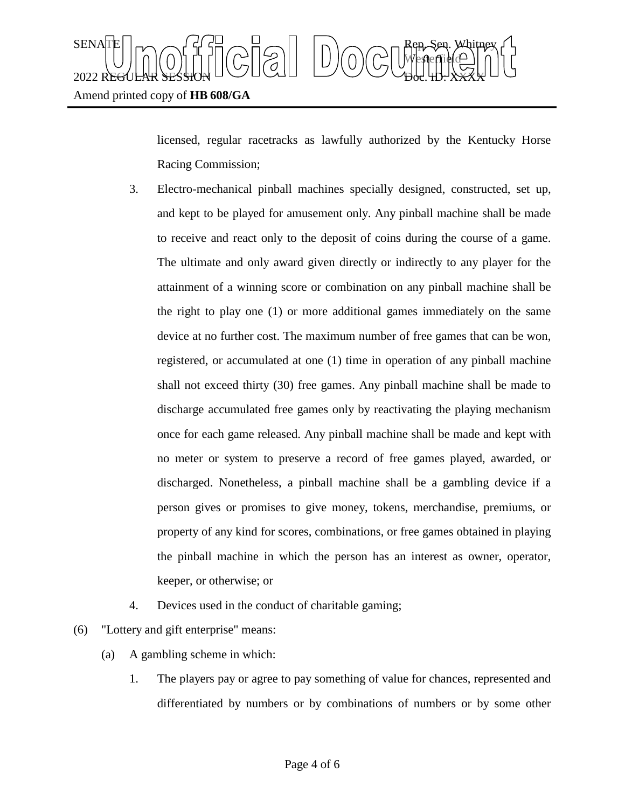

licensed, regular racetracks as lawfully authorized by the Kentucky Horse Racing Commission;

- 3. Electro-mechanical pinball machines specially designed, constructed, set up, and kept to be played for amusement only. Any pinball machine shall be made to receive and react only to the deposit of coins during the course of a game. The ultimate and only award given directly or indirectly to any player for the attainment of a winning score or combination on any pinball machine shall be the right to play one (1) or more additional games immediately on the same device at no further cost. The maximum number of free games that can be won, registered, or accumulated at one (1) time in operation of any pinball machine shall not exceed thirty (30) free games. Any pinball machine shall be made to discharge accumulated free games only by reactivating the playing mechanism once for each game released. Any pinball machine shall be made and kept with no meter or system to preserve a record of free games played, awarded, or discharged. Nonetheless, a pinball machine shall be a gambling device if a person gives or promises to give money, tokens, merchandise, premiums, or property of any kind for scores, combinations, or free games obtained in playing the pinball machine in which the person has an interest as owner, operator, keeper, or otherwise; or
- 4. Devices used in the conduct of charitable gaming;
- (6) "Lottery and gift enterprise" means:
	- (a) A gambling scheme in which:
		- 1. The players pay or agree to pay something of value for chances, represented and differentiated by numbers or by combinations of numbers or by some other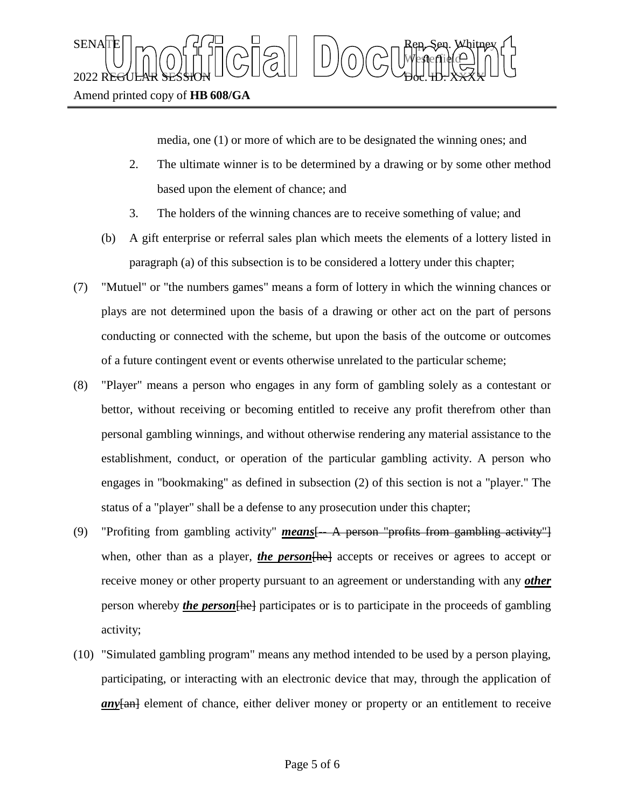SENATE Rep. Sen. Whitney Westerfield  $2022$  REGULAR SESSION DOLLOURED DO COURT TO CHARLED.  $\chi_{\rm{H}}$ Amend printed copy of **HB 608/GA**

media, one (1) or more of which are to be designated the winning ones; and

- 2. The ultimate winner is to be determined by a drawing or by some other method based upon the element of chance; and
- 3. The holders of the winning chances are to receive something of value; and
- (b) A gift enterprise or referral sales plan which meets the elements of a lottery listed in paragraph (a) of this subsection is to be considered a lottery under this chapter;
- (7) "Mutuel" or "the numbers games" means a form of lottery in which the winning chances or plays are not determined upon the basis of a drawing or other act on the part of persons conducting or connected with the scheme, but upon the basis of the outcome or outcomes of a future contingent event or events otherwise unrelated to the particular scheme;
- (8) "Player" means a person who engages in any form of gambling solely as a contestant or bettor, without receiving or becoming entitled to receive any profit therefrom other than personal gambling winnings, and without otherwise rendering any material assistance to the establishment, conduct, or operation of the particular gambling activity. A person who engages in "bookmaking" as defined in subsection (2) of this section is not a "player." The status of a "player" shall be a defense to any prosecution under this chapter;
- (9) "Profiting from gambling activity" *means* [- A person "profits from gambling activity"] when, other than as a player, *the person* [he] accepts or receives or agrees to accept or receive money or other property pursuant to an agreement or understanding with any *other* person whereby *the person* [he ] participates or is to participate in the proceeds of gambling activity;
- (10) "Simulated gambling program" means any method intended to be used by a person playing, participating, or interacting with an electronic device that may, through the application of *an* $v$ <del>[an]</del> element of chance, either deliver money or property or an entitlement to receive